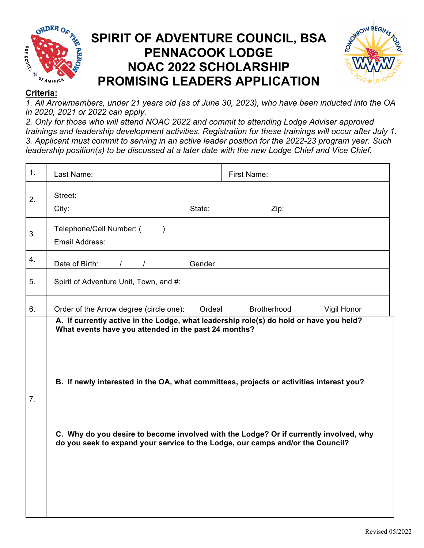

## **SPIRIT OF ADVENTURE COUNCIL, BSA PENNACOOK LODGE NOAC 2022 SCHOLARSHIP PROMISING LEADERS APPLICATION**



## **Criteria:**

*1. All Arrowmembers, under 21 years old (as of June 30, 2023), who have been inducted into the OA in 2020, 2021 or 2022 can apply.*

*2. Only for those who will attend NOAC 2022 and commit to attending Lodge Adviser approved trainings and leadership development activities. Registration for these trainings will occur after July 1. 3. Applicant must commit to serving in an active leader position for the 2022-23 program year. Such leadership position(s) to be discussed at a later date with the new Lodge Chief and Vice Chief.*

| 1. | Last Name:                                                                                                                                                                                                                                                                                                                                                                                                           | First Name:                |
|----|----------------------------------------------------------------------------------------------------------------------------------------------------------------------------------------------------------------------------------------------------------------------------------------------------------------------------------------------------------------------------------------------------------------------|----------------------------|
| 2. | Street:<br>City:<br>State:                                                                                                                                                                                                                                                                                                                                                                                           | Zip:                       |
| 3. | Telephone/Cell Number: (<br>$\lambda$<br>Email Address:                                                                                                                                                                                                                                                                                                                                                              |                            |
| 4. | / / Gender:<br>Date of Birth:                                                                                                                                                                                                                                                                                                                                                                                        |                            |
| 5. | Spirit of Adventure Unit, Town, and #:                                                                                                                                                                                                                                                                                                                                                                               |                            |
| 6. | Order of the Arrow degree (circle one):<br>Ordeal                                                                                                                                                                                                                                                                                                                                                                    | Brotherhood<br>Vigil Honor |
| 7. | A. If currently active in the Lodge, what leadership role(s) do hold or have you held?<br>What events have you attended in the past 24 months?<br>B. If newly interested in the OA, what committees, projects or activities interest you?<br>C. Why do you desire to become involved with the Lodge? Or if currently involved, why<br>do you seek to expand your service to the Lodge, our camps and/or the Council? |                            |